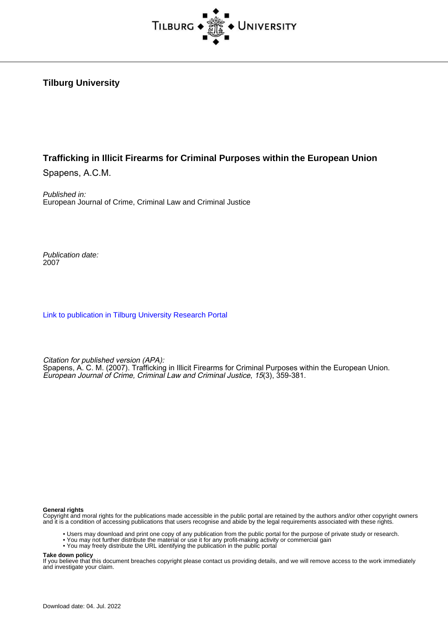

## **Tilburg University**

# **Trafficking in Illicit Firearms for Criminal Purposes within the European Union**

Spapens, A.C.M.

Published in: European Journal of Crime, Criminal Law and Criminal Justice

Publication date: 2007

[Link to publication in Tilburg University Research Portal](https://research.tilburguniversity.edu/en/publications/236f1c1d-a283-482f-ab3b-bbe9c83ae280)

Citation for published version (APA):

Spapens, A. C. M. (2007). Trafficking in Illicit Firearms for Criminal Purposes within the European Union. European Journal of Crime, Criminal Law and Criminal Justice, 15(3), 359-381.

#### **General rights**

Copyright and moral rights for the publications made accessible in the public portal are retained by the authors and/or other copyright owners and it is a condition of accessing publications that users recognise and abide by the legal requirements associated with these rights.

- Users may download and print one copy of any publication from the public portal for the purpose of private study or research.
- You may not further distribute the material or use it for any profit-making activity or commercial gain
- You may freely distribute the URL identifying the publication in the public portal

#### **Take down policy**

If you believe that this document breaches copyright please contact us providing details, and we will remove access to the work immediately and investigate your claim.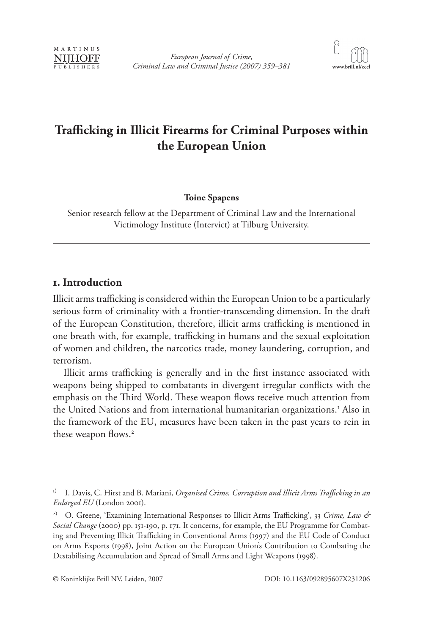



# Trafficking in Illicit Firearms for Criminal Purposes within the European Union

#### **Toine Spapens**

Senior research fellow at the Department of Criminal Law and the International Victimology Institute (Intervict) at Tilburg University.

#### **I.** Introduction

Illicit arms trafficking is considered within the European Union to be a particularly serious form of criminality with a frontier-transcending dimension. In the draft of the European Constitution, therefore, illicit arms trafficking is mentioned in one breath with, for example, trafficking in humans and the sexual exploitation of women and children, the narcotics trade, money laundering, corruption, and terrorism.

Illicit arms trafficking is generally and in the first instance associated with weapons being shipped to combatants in divergent irregular conflicts with the emphasis on the Third World. These weapon flows receive much attention from the United Nations and from international humanitarian organizations.<sup>1</sup> Also in the framework of the EU, measures have been taken in the past years to rein in these weapon flows.<sup>2</sup>

<sup>&</sup>lt;sup>1)</sup> I. Davis, C. Hirst and B. Mariani, Organised Crime, Corruption and Illicit Arms Trafficking in an Enlarged EU (London 2001).

<sup>&</sup>lt;sup>2)</sup> O. Greene, 'Examining International Responses to Illicit Arms Trafficking', 33 Crime, Law & Social Change (2000) pp. 151-190, p. 171. It concerns, for example, the EU Programme for Combating and Preventing Illicit Trafficking in Conventional Arms (1997) and the EU Code of Conduct on Arms Exports (1998), Joint Action on the European Union's Contribution to Combating the Destabilising Accumulation and Spread of Small Arms and Light Weapons (1998).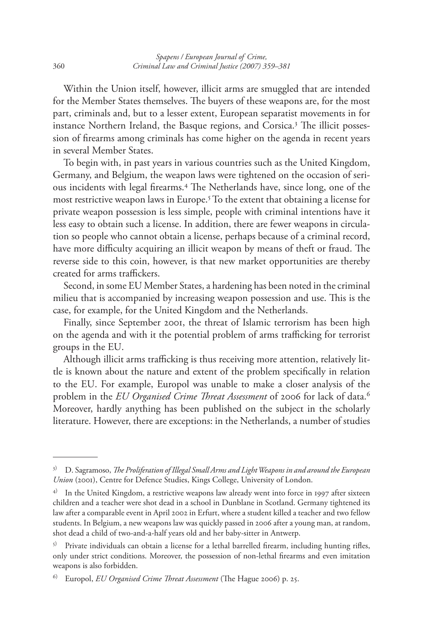Within the Union itself, however, illicit arms are smuggled that are intended for the Member States themselves. The buyers of these weapons are, for the most part, criminals and, but to a lesser extent, European separatist movements in for instance Northern Ireland, the Basque regions, and Corsica.<sup>3</sup> The illicit possession of firearms among criminals has come higher on the agenda in recent years in several Member States.

To begin with, in past years in various countries such as the United Kingdom, Germany, and Belgium, the weapon laws were tightened on the occasion of serious incidents with legal firearms.<sup>4</sup> The Netherlands have, since long, one of the most restrictive weapon laws in Europe.<sup>5</sup> To the extent that obtaining a license for private weapon possession is less simple, people with criminal intentions have it less easy to obtain such a license. In addition, there are fewer weapons in circulation so people who cannot obtain a license, perhaps because of a criminal record, have more difficulty acquiring an illicit weapon by means of theft or fraud. The reverse side to this coin, however, is that new market opportunities are thereby created for arms traffickers

Second, in some EU Member States, a hardening has been noted in the criminal milieu that is accompanied by increasing weapon possession and use. This is the case, for example, for the United Kingdom and the Netherlands.

Finally, since September 2001, the threat of Islamic terrorism has been high on the agenda and with it the potential problem of arms trafficking for terrorist groups in the EU.

Although illicit arms trafficking is thus receiving more attention, relatively little is known about the nature and extent of the problem specifically in relation to the EU. For example, Europol was unable to make a closer analysis of the problem in the EU Organised Crime Threat Assessment of 2006 for lack of data.<sup>6</sup> Moreover, hardly anything has been published on the subject in the scholarly literature. However, there are exceptions: in the Netherlands, a number of studies

<sup>&</sup>lt;sup>3)</sup> D. Sagramoso, The Proliferation of Illegal Small Arms and Light Weapons in and around the European Union (2001), Centre for Defence Studies, Kings College, University of London.

<sup>&</sup>lt;sup>4)</sup> In the United Kingdom, a restrictive weapons law already went into force in 1997 after sixteen children and a teacher were shot dead in a school in Dunblane in Scotland. Germany tightened its law after a comparable event in April 2002 in Erfurt, where a student killed a teacher and two fellow students. In Belgium, a new weapons law was quickly passed in 2006 after a young man, at random, shot dead a child of two-and-a-half years old and her baby-sitter in Antwerp.

<sup>&</sup>lt;sup>5)</sup> Private individuals can obtain a license for a lethal barrelled firearm, including hunting rifles, only under strict conditions. Moreover, the possession of non-lethal firearms and even imitation weapons is also forbidden.

<sup>&</sup>lt;sup>6)</sup> Europol, *EU Organised Crime Threat Assessment* (The Hague 2006) p. 25.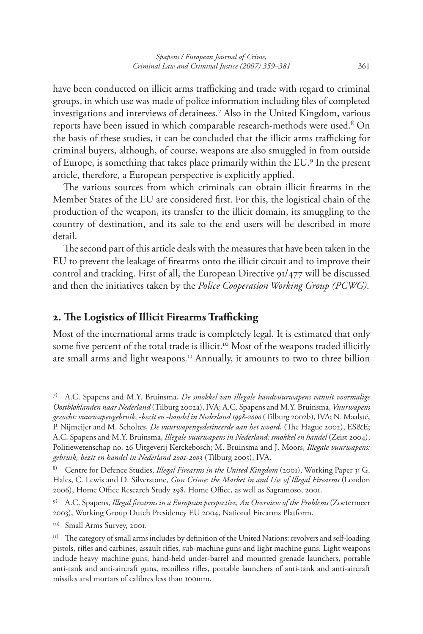have been conducted on illicit arms trafficking and trade with regard to criminal groups, in which use was made of police information including files of completed investigations and interviews of detainees.<sup>7</sup> Also in the United Kingdom, various reports have been issued in which comparable research-methods were used.<sup>8</sup> On the basis of these studies, it can be concluded that the illicit arms trafficking for criminal buyers, although, of course, weapons are also smuggled in from outside of Europe, is something that takes place primarily within the EU.<sup>9</sup> In the present article, therefore, a European perspective is explicitly applied.

The various sources from which criminals can obtain illicit firearms in the Member States of the EU are considered first. For this, the logistical chain of the production of the weapon, its transfer to the illicit domain, its smuggling to the country of destination, and its sale to the end users will be described in more detail

The second part of this article deals with the measures that have been taken in the EU to prevent the leakage of firearms onto the illicit circuit and to improve their control and tracking. First of all, the European Directive 91/477 will be discussed and then the initiatives taken by the Police Cooperation Working Group (PCWG).

#### 2. The Logistics of Illicit Firearms Trafficking

Most of the international arms trade is completely legal. It is estimated that only some five percent of the total trade is illicit.<sup>10</sup> Most of the weapons traded illicitly are small arms and light weapons.<sup>11</sup> Annually, it amounts to two to three billion

<sup>7)</sup> A.C. Spapens and M.Y. Bruinsma, De smokkel van illegale handvuurwapens vanuit voormalige Oostbloklanden naar Nederland (Tilburg 2002a), IVA; A.C. Spapens and M.Y. Bruinsma, Vuurwapens gezocht: vuurwapengebruik, -bezit en -handel in Nederland 1998-2000 (Tilburg 2002b), IVA; N. Maalsté, P. Nijmeijer and M. Scholtes, De vuurwapengedetineerde aan het woord, (The Hague 2002), ES&E; A.C. Spapens and M.Y. Bruinsma, Illegale vuurwapens in Nederland: smokkel en handel (Zeist 2004), Politiewetenschap no. 26 Uitgeverij Kerckebosch; M. Bruinsma and J. Moors, Illegale vuurwapens: gebruik, bezit en handel in Nederland 2001-2003 (Tilburg 2005), IVA.

<sup>&</sup>lt;sup>8)</sup> Centre for Defence Studies, Illegal Firearms in the United Kingdom (2001), Working Paper 3; G. Hales, C. Lewis and D. Silverstone, Gun Crime: the Market in and Use of Illegal Firearms (London 2006), Home Office Research Study 298, Home Office, as well as Sagramoso, 2001.

<sup>&</sup>lt;sup>9)</sup> A.C. Spapens, Illegal firearms in a European perspective, An Overview of the Problems (Zoetermeer 2003), Working Group Dutch Presidency EU 2004, National Firearms Platform.

<sup>&</sup>lt;sup>10)</sup> Small Arms Survey, 2001.

<sup>&</sup>lt;sup>11)</sup> The category of small arms includes by definition of the United Nations: revolvers and self-loading pistols, rifles and carbines, assault rifles, sub-machine guns and light machine guns. Light weapons include heavy machine guns, hand-held under-barrel and mounted grenade launchers, portable anti-tank and anti-aircraft guns, recoilless rifles, portable launchers of anti-tank and anti-aircraft missiles and mortars of calibres less than 100mm.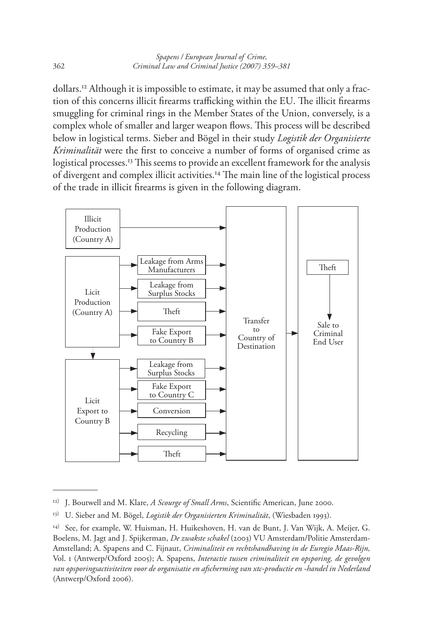#### Spapens / European Journal of Crime, Criminal Law and Criminal Iustice (2007) 359-381

dollars.<sup>12</sup> Although it is impossible to estimate, it may be assumed that only a fraction of this concerns illicit firearms trafficking within the EU. The illicit firearms smuggling for criminal rings in the Member States of the Union, conversely, is a complex whole of smaller and larger weapon flows. This process will be described below in logistical terms. Sieber and Bögel in their study Logistik der Organisierte Kriminalität were the first to conceive a number of forms of organised crime as logistical processes.<sup>13</sup> This seems to provide an excellent framework for the analysis of divergent and complex illicit activities.<sup>14</sup> The main line of the logistical process of the trade in illicit firearms is given in the following diagram.



<sup>&</sup>lt;sup>12)</sup> J. Boutwell and M. Klare, A Scourge of Small Arms, Scientific American, June 2000.

<sup>&</sup>lt;sup>13)</sup> U. Sieber and M. Bögel, Logistik der Organisierten Kriminalität, (Wiesbaden 1993).

<sup>&</sup>lt;sup>14)</sup> See, for example, W. Huisman, H. Huikeshoven, H. van de Bunt, J. Van Wijk, A. Meijer, G. Boelens, M. Jagt and J. Spijkerman, De zwakste schakel (2003) VU Amsterdam/Politie Amsterdam-Amstelland; A. Spapens and C. Fijnaut, Criminaliteit en rechtshandhaving in de Euregio Maas-Rijn, Vol. I (Antwerp/Oxford 2005); A. Spapens, Interactie tussen criminaliteit en opsporing, de gevolgen van opsporingsactiviteiten voor de organisatie en afscherming van xtc-productie en -handel in Nederland (Antwerp/Oxford 2006).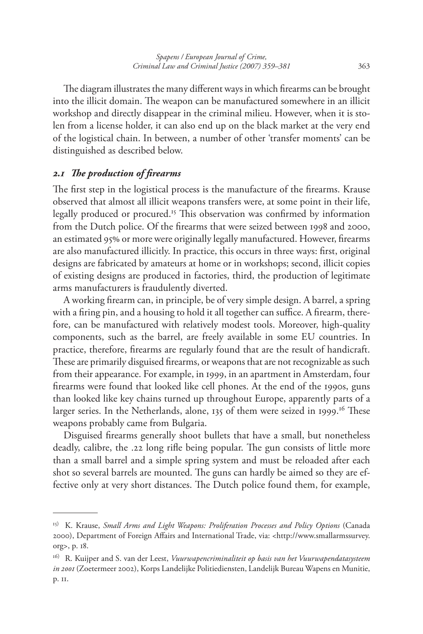The diagram illustrates the many different ways in which firearms can be brought into the illicit domain. The weapon can be manufactured somewhere in an illicit workshop and directly disappear in the criminal milieu. However, when it is stolen from a license holder, it can also end up on the black market at the very end of the logistical chain. In between, a number of other 'transfer moments' can be distinguished as described below.

#### 2.1 The production of firearms

The first step in the logistical process is the manufacture of the firearms. Krause observed that almost all illicit weapons transfers were, at some point in their life, legally produced or procured.<sup>15</sup> This observation was confirmed by information from the Dutch police. Of the firearms that were seized between 1998 and 2000, an estimated 95% or more were originally legally manufactured. However, firearms are also manufactured illicitly. In practice, this occurs in three ways: first, original designs are fabricated by amateurs at home or in workshops; second, illicit copies of existing designs are produced in factories, third, the production of legitimate arms manufacturers is fraudulently diverted.

A working firearm can, in principle, be of very simple design. A barrel, a spring with a firing pin, and a housing to hold it all together can suffice. A firearm, therefore, can be manufactured with relatively modest tools. Moreover, high-quality components, such as the barrel, are freely available in some EU countries. In practice, therefore, firearms are regularly found that are the result of handicraft. These are primarily disguised firearms, or weapons that are not recognizable as such from their appearance. For example, in 1999, in an apartment in Amsterdam, four firearms were found that looked like cell phones. At the end of the 1990s, guns than looked like key chains turned up throughout Europe, apparently parts of a larger series. In the Netherlands, alone, 135 of them were seized in 1999.<sup>16</sup> These weapons probably came from Bulgaria.

Disguised firearms generally shoot bullets that have a small, but nonetheless deadly, calibre, the .22 long rifle being popular. The gun consists of little more than a small barrel and a simple spring system and must be reloaded after each shot so several barrels are mounted. The guns can hardly be aimed so they are effective only at very short distances. The Dutch police found them, for example,

<sup>&</sup>lt;sup>15)</sup> K. Krause, *Small Arms and Light Weapons: Proliferation Processes and Policy Options* (Canada 2000), Department of Foreign Affairs and International Trade, via: <http://www.smallarmssurvey. org>, p. 18.

<sup>&</sup>lt;sup>16)</sup> R. Kuijper and S. van der Leest, *Vuurwapencriminaliteit op basis van het Vuurwapendatasysteem* in 2001 (Zoetermeer 2002), Korps Landelijke Politiediensten, Landelijk Bureau Wapens en Munitie, p. II.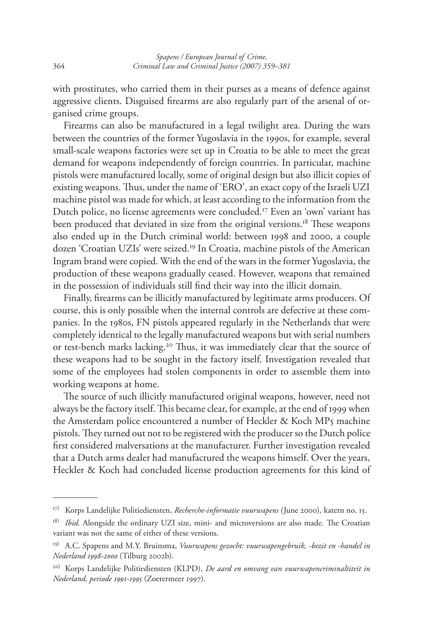with prostitutes, who carried them in their purses as a means of defence against aggressive clients. Disguised firearms are also regularly part of the arsenal of organised crime groups.

Firearms can also be manufactured in a legal twilight area. During the wars between the countries of the former Yugoslavia in the 1990s, for example, several small-scale weapons factories were set up in Croatia to be able to meet the great demand for weapons independently of foreign countries. In particular, machine pistols were manufactured locally, some of original design but also illicit copies of existing weapons. Thus, under the name of 'ERO', an exact copy of the Israeli UZI machine pistol was made for which, at least according to the information from the Dutch police, no license agreements were concluded.<sup>17</sup> Even an 'own' variant has been produced that deviated in size from the original versions.<sup>18</sup> These weapons also ended up in the Dutch criminal world: between 1998 and 2000, a couple dozen 'Croatian UZIs' were seized.<sup>19</sup> In Croatia, machine pistols of the American Ingram brand were copied. With the end of the wars in the former Yugoslavia, the production of these weapons gradually ceased. However, weapons that remained in the possession of individuals still find their way into the illicit domain.

Finally, firearms can be illicitly manufactured by legitimate arms producers. Of course, this is only possible when the internal controls are defective at these companies. In the 1980s, FN pistols appeared regularly in the Netherlands that were completely identical to the legally manufactured weapons but with serial numbers or test-bench marks lacking.<sup>20</sup> Thus, it was immediately clear that the source of these weapons had to be sought in the factory itself. Investigation revealed that some of the employees had stolen components in order to assemble them into working weapons at home.

The source of such illicitly manufactured original weapons, however, need not always be the factory itself. This became clear, for example, at the end of 1999 when the Amsterdam police encountered a number of Heckler & Koch MP5 machine pistols. They turned out not to be registered with the producer so the Dutch police first considered malversations at the manufacturer. Further investigation revealed that a Dutch arms dealer had manufactured the weapons himself. Over the years, Heckler & Koch had concluded license production agreements for this kind of

<sup>&</sup>lt;sup>17)</sup> Korps Landelijke Politiediensten, Recherche-informatie vuurwapens (June 2000), katern no. 15.

<sup>&</sup>lt;sup>18)</sup> Ibid. Alongside the ordinary UZI size, mini- and microversions are also made. The Croatian variant was not the same of either of these versions.

<sup>&</sup>lt;sup>19)</sup> A.C. Spapens and M.Y. Bruinsma, Vuurwapens gezocht: vuurwapengebruik, -bezit en -handel in Nederland 1998-2000 (Tilburg 2002b).

<sup>&</sup>lt;sup>20)</sup> Korps Landelijke Politiediensten (KLPD), De aard en omvang van vuurwapencriminaltiteit in Nederland, periode 1991-1995 (Zoetermeer 1997).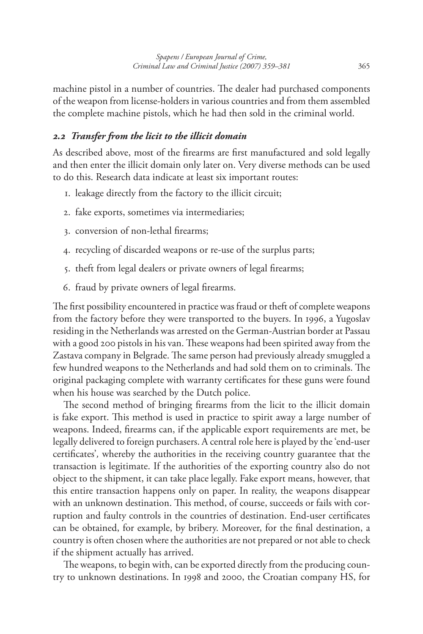machine pistol in a number of countries. The dealer had purchased components of the weapon from license-holders in various countries and from them assembled the complete machine pistols, which he had then sold in the criminal world.

## 2.2 Transfer from the licit to the illicit domain

As described above, most of the firearms are first manufactured and sold legally and then enter the illicit domain only later on. Very diverse methods can be used to do this. Research data indicate at least six important routes:

- I. leakage directly from the factory to the illicit circuit;
- 2. fake exports, sometimes via intermediaries;
- 3. conversion of non-lethal firearms;
- 4. recycling of discarded weapons or re-use of the surplus parts;
- 5. theft from legal dealers or private owners of legal firearms;
- 6. fraud by private owners of legal firearms.

The first possibility encountered in practice was fraud or theft of complete weapons from the factory before they were transported to the buyers. In 1996, a Yugoslav residing in the Netherlands was arrested on the German-Austrian border at Passau with a good 200 pistols in his van. These weapons had been spirited away from the Zastava company in Belgrade. The same person had previously already smuggled a few hundred weapons to the Netherlands and had sold them on to criminals. The original packaging complete with warranty certificates for these guns were found when his house was searched by the Dutch police.

The second method of bringing firearms from the licit to the illicit domain is fake export. This method is used in practice to spirit away a large number of weapons. Indeed, firearms can, if the applicable export requirements are met, be legally delivered to foreign purchasers. A central role here is played by the 'end-user certificates', whereby the authorities in the receiving country guarantee that the transaction is legitimate. If the authorities of the exporting country also do not object to the shipment, it can take place legally. Fake export means, however, that this entire transaction happens only on paper. In reality, the weapons disappear with an unknown destination. This method, of course, succeeds or fails with corruption and faulty controls in the countries of destination. End-user certificates can be obtained, for example, by bribery. Moreover, for the final destination, a country is often chosen where the authorities are not prepared or not able to check if the shipment actually has arrived.

The weapons, to begin with, can be exported directly from the producing country to unknown destinations. In 1998 and 2000, the Croatian company HS, for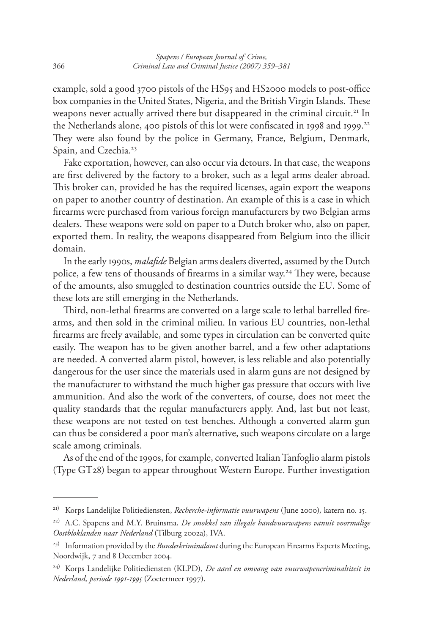example, sold a good 3700 pistols of the HS95 and HS2000 models to post-office box companies in the United States, Nigeria, and the British Virgin Islands. These weapons never actually arrived there but disappeared in the criminal circuit.<sup>21</sup> In the Netherlands alone, 400 pistols of this lot were confiscated in 1998 and 1999.<sup>22</sup> They were also found by the police in Germany, France, Belgium, Denmark, Spain, and Czechia.<sup>23</sup>

Fake exportation, however, can also occur via detours. In that case, the weapons are first delivered by the factory to a broker, such as a legal arms dealer abroad. This broker can, provided he has the required licenses, again export the weapons on paper to another country of destination. An example of this is a case in which firearms were purchased from various foreign manufacturers by two Belgian arms dealers. These weapons were sold on paper to a Dutch broker who, also on paper, exported them. In reality, the weapons disappeared from Belgium into the illicit domain.

In the early 1990s, *malafide* Belgian arms dealers diverted, assumed by the Dutch police, a few tens of thousands of firearms in a similar way.<sup>24</sup> They were, because of the amounts, also smuggled to destination countries outside the EU. Some of these lots are still emerging in the Netherlands.

Third, non-lethal firearms are converted on a large scale to lethal barrelled firearms, and then sold in the criminal milieu. In various EU countries, non-lethal firearms are freely available, and some types in circulation can be converted quite easily. The weapon has to be given another barrel, and a few other adaptations are needed. A converted alarm pistol, however, is less reliable and also potentially dangerous for the user since the materials used in alarm guns are not designed by the manufacturer to withstand the much higher gas pressure that occurs with live ammunition. And also the work of the converters, of course, does not meet the quality standards that the regular manufacturers apply. And, last but not least, these weapons are not tested on test benches. Although a converted alarm gun can thus be considered a poor man's alternative, such weapons circulate on a large scale among criminals.

As of the end of the 1990s, for example, converted Italian Tanfoglio alarm pistols (Type GT28) began to appear throughout Western Europe. Further investigation

<sup>&</sup>lt;sup>21)</sup> Korps Landelijke Politiediensten, Recherche-informatie vuurwapens (June 2000), katern no. 15.

<sup>&</sup>lt;sup>22)</sup> A.C. Spapens and M.Y. Bruinsma, De smokkel van illegale handvuurwapens vanuit voormalige Oostbloklanden naar Nederland (Tilburg 2002a), IVA.

<sup>&</sup>lt;sup>23)</sup> Information provided by the *Bundeskriminalamt* during the European Firearms Experts Meeting, Noordwijk, 7 and 8 December 2004.

<sup>&</sup>lt;sup>24)</sup> Korps Landelijke Politiediensten (KLPD), De aard en omvang van vuurwapencriminaltiteit in Nederland, periode 1991-1995 (Zoetermeer 1997).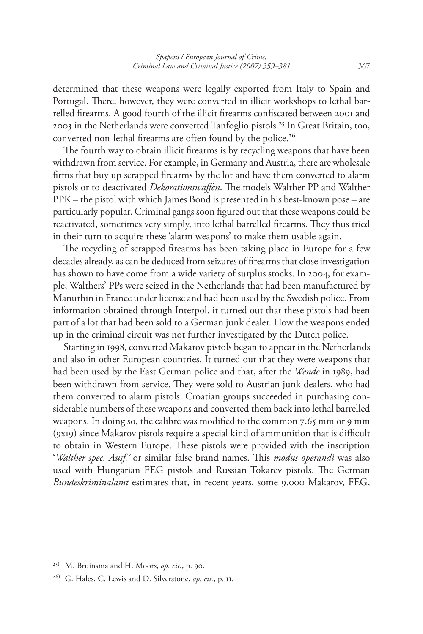determined that these weapons were legally exported from Italy to Spain and Portugal. There, however, they were converted in illicit workshops to lethal barrelled firearms. A good fourth of the illicit firearms confiscated between 2001 and 2003 in the Netherlands were converted Tanfoglio pistols.<sup>25</sup> In Great Britain, too, converted non-lethal firearms are often found by the police.<sup>26</sup>

The fourth way to obtain illicit firearms is by recycling weapons that have been withdrawn from service. For example, in Germany and Austria, there are wholesale firms that buy up scrapped firearms by the lot and have them converted to alarm pistols or to deactivated Dekorationswaffen. The models Walther PP and Walther PPK – the pistol with which James Bond is presented in his best-known pose – are particularly popular. Criminal gangs soon figured out that these weapons could be reactivated, sometimes very simply, into lethal barrelled firearms. They thus tried in their turn to acquire these 'alarm weapons' to make them usable again.

The recycling of scrapped firearms has been taking place in Europe for a few decades already, as can be deduced from seizures of firearms that close investigation has shown to have come from a wide variety of surplus stocks. In 2004, for example, Walthers' PPs were seized in the Netherlands that had been manufactured by Manurhin in France under license and had been used by the Swedish police. From information obtained through Interpol, it turned out that these pistols had been part of a lot that had been sold to a German junk dealer. How the weapons ended up in the criminal circuit was not further investigated by the Dutch police.

Starting in 1998, converted Makarov pistols began to appear in the Netherlands and also in other European countries. It turned out that they were weapons that had been used by the East German police and that, after the Wende in 1989, had been withdrawn from service. They were sold to Austrian junk dealers, who had them converted to alarm pistols. Croatian groups succeeded in purchasing considerable numbers of these weapons and converted them back into lethal barrelled weapons. In doing so, the calibre was modified to the common 7.65 mm or 9 mm (9x19) since Makarov pistols require a special kind of ammunition that is difficult to obtain in Western Europe. These pistols were provided with the inscription 'Walther spec. Ausf.' or similar false brand names. This modus operandi was also used with Hungarian FEG pistols and Russian Tokarev pistols. The German Bundeskriminalamt estimates that, in recent years, some 9,000 Makarov, FEG,

<sup>&</sup>lt;sup>25)</sup> M. Bruinsma and H. Moors, op. cit., p. 90.

<sup>&</sup>lt;sup>26)</sup> G. Hales, C. Lewis and D. Silverstone, op. cit., p. II.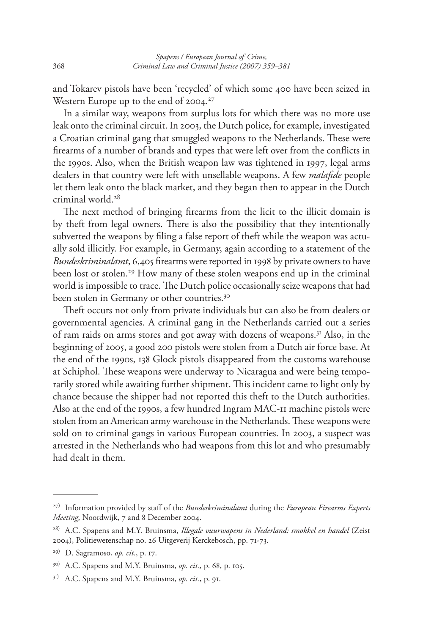and Tokarev pistols have been 'recycled' of which some 400 have been seized in Western Europe up to the end of 2004.<sup>27</sup>

In a similar way, weapons from surplus lots for which there was no more use leak onto the criminal circuit. In 2003, the Dutch police, for example, investigated a Croatian criminal gang that smuggled weapons to the Netherlands. These were firearms of a number of brands and types that were left over from the conflicts in the 1990s. Also, when the British weapon law was tightened in 1997, legal arms dealers in that country were left with unsellable weapons. A few *malafide* people let them leak onto the black market, and they began then to appear in the Dutch criminal world.<sup>28</sup>

The next method of bringing firearms from the licit to the illicit domain is by theft from legal owners. There is also the possibility that they intentionally subverted the weapons by filing a false report of theft while the weapon was actually sold illicitly. For example, in Germany, again according to a statement of the Bundeskriminalamt, 6,405 firearms were reported in 1998 by private owners to have been lost or stolen.<sup>29</sup> How many of these stolen weapons end up in the criminal world is impossible to trace. The Dutch police occasionally seize weapons that had been stolen in Germany or other countries.<sup>30</sup>

Theft occurs not only from private individuals but can also be from dealers or governmental agencies. A criminal gang in the Netherlands carried out a series of ram raids on arms stores and got away with dozens of weapons.<sup>31</sup> Also, in the beginning of 2005, a good 200 pistols were stolen from a Dutch air force base. At the end of the 1990s, 138 Glock pistols disappeared from the customs warehouse at Schiphol. These weapons were underway to Nicaragua and were being temporarily stored while awaiting further shipment. This incident came to light only by chance because the shipper had not reported this theft to the Dutch authorities. Also at the end of the 1990s, a few hundred Ingram MAC-11 machine pistols were stolen from an American army warehouse in the Netherlands. These weapons were sold on to criminal gangs in various European countries. In 2003, a suspect was arrested in the Netherlands who had weapons from this lot and who presumably had dealt in them.

<sup>&</sup>lt;sup>27)</sup> Information provided by staff of the *Bundeskriminalamt* during the *European Firearms Experts* Meeting, Noordwijk, 7 and 8 December 2004.

<sup>&</sup>lt;sup>28)</sup> A.C. Spapens and M.Y. Bruinsma, Illegale vuurwapens in Nederland: smokkel en handel (Zeist 2004), Politiewetenschap no. 26 Uitgeverij Kerckebosch, pp. 71-73.

<sup>&</sup>lt;sup>29)</sup> D. Sagramoso, op. cit., p. 17.

<sup>&</sup>lt;sup>30)</sup> A.C. Spapens and M.Y. Bruinsma, op. cit., p. 68, p. 105.

<sup>&</sup>lt;sup>31)</sup> A.C. Spapens and M.Y. Bruinsma, op. cit., p. 91.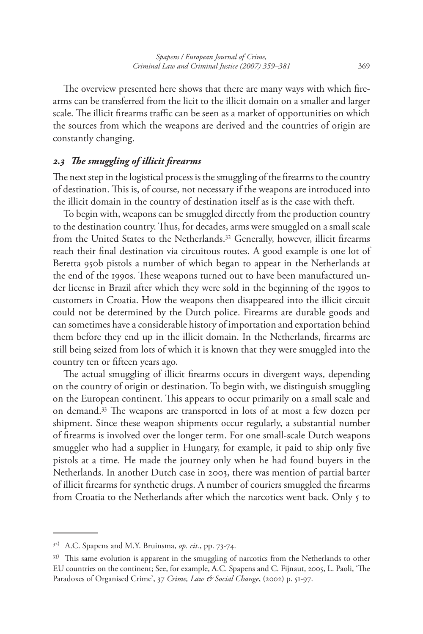The overview presented here shows that there are many ways with which firearms can be transferred from the licit to the illicit domain on a smaller and larger scale. The illicit firearms traffic can be seen as a market of opportunities on which the sources from which the weapons are derived and the countries of origin are constantly changing.

#### 2.3 The smuggling of illicit firearms

The next step in the logistical process is the smuggling of the firearms to the country of destination. This is, of course, not necessary if the weapons are introduced into the illicit domain in the country of destination itself as is the case with theft.

To begin with, weapons can be smuggled directly from the production country to the destination country. Thus, for decades, arms were smuggled on a small scale from the United States to the Netherlands.<sup>32</sup> Generally, however, illicit firearms reach their final destination via circuitous routes. A good example is one lot of Beretta 950b pistols a number of which began to appear in the Netherlands at the end of the 1990s. These weapons turned out to have been manufactured under license in Brazil after which they were sold in the beginning of the 1990s to customers in Croatia. How the weapons then disappeared into the illicit circuit could not be determined by the Dutch police. Firearms are durable goods and can sometimes have a considerable history of importation and exportation behind them before they end up in the illicit domain. In the Netherlands, firearms are still being seized from lots of which it is known that they were smuggled into the country ten or fifteen years ago.

The actual smuggling of illicit firearms occurs in divergent ways, depending on the country of origin or destination. To begin with, we distinguish smuggling on the European continent. This appears to occur primarily on a small scale and on demand.<sup>33</sup> The weapons are transported in lots of at most a few dozen per shipment. Since these weapon shipments occur regularly, a substantial number of firearms is involved over the longer term. For one small-scale Dutch weapons smuggler who had a supplier in Hungary, for example, it paid to ship only five pistols at a time. He made the journey only when he had found buyers in the Netherlands. In another Dutch case in 2003, there was mention of partial barter of illicit firearms for synthetic drugs. A number of couriers smuggled the firearms from Croatia to the Netherlands after which the narcotics went back. Only 5 to

 $32)$  A.C. Spapens and M.Y. Bruinsma, *op. cit.*, pp. 73-74.

<sup>&</sup>lt;sup>33)</sup> This same evolution is apparent in the smuggling of narcotics from the Netherlands to other EU countries on the continent; See, for example, A.C. Spapens and C. Fijnaut, 2005, L. Paoli, 'The Paradoxes of Organised Crime', 37 Crime, Law & Social Change, (2002) p. 51-97.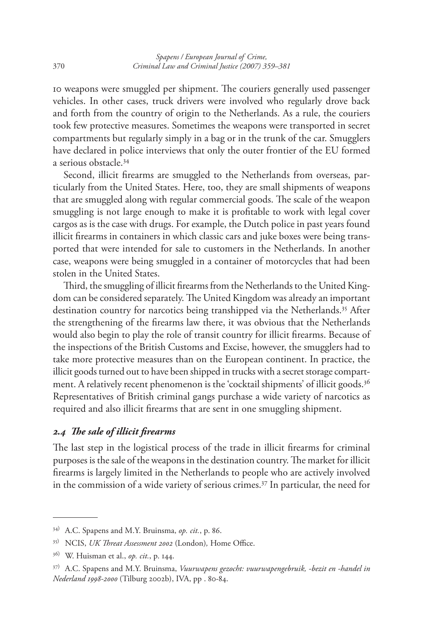to weapons were smuggled per shipment. The couriers generally used passenger vehicles. In other cases, truck drivers were involved who regularly drove back and forth from the country of origin to the Netherlands. As a rule, the couriers took few protective measures. Sometimes the weapons were transported in secret compartments but regularly simply in a bag or in the trunk of the car. Smugglers have declared in police interviews that only the outer frontier of the EU formed a serious obstacle.<sup>34</sup>

Second, illicit firearms are smuggled to the Netherlands from overseas, particularly from the United States. Here, too, they are small shipments of weapons that are smuggled along with regular commercial goods. The scale of the weapon smuggling is not large enough to make it is profitable to work with legal cover cargos as is the case with drugs. For example, the Dutch police in past years found illicit firearms in containers in which classic cars and juke boxes were being transported that were intended for sale to customers in the Netherlands. In another case, weapons were being smuggled in a container of motorcycles that had been stolen in the United States.

Third, the smuggling of illicit firearms from the Netherlands to the United Kingdom can be considered separately. The United Kingdom was already an important destination country for narcotics being transhipped via the Netherlands.<sup>35</sup> After the strengthening of the firearms law there, it was obvious that the Netherlands would also begin to play the role of transit country for illicit firearms. Because of the inspections of the British Customs and Excise, however, the smugglers had to take more protective measures than on the European continent. In practice, the illicit goods turned out to have been shipped in trucks with a secret storage compartment. A relatively recent phenomenon is the 'cocktail shipments' of illicit goods.<sup>36</sup> Representatives of British criminal gangs purchase a wide variety of narcotics as required and also illicit firearms that are sent in one smuggling shipment.

#### 2.4 The sale of illicit firearms

The last step in the logistical process of the trade in illicit firearms for criminal purposes is the sale of the weapons in the destination country. The market for illicit firearms is largely limited in the Netherlands to people who are actively involved in the commission of a wide variety of serious crimes.<sup>37</sup> In particular, the need for

<sup>&</sup>lt;sup>34)</sup> A.C. Spapens and M.Y. Bruinsma, op. cit., p. 86.

<sup>&</sup>lt;sup>35)</sup> NCIS, UK Threat Assessment 2002 (London), Home Office.

<sup>&</sup>lt;sup>36)</sup> W. Huisman et al., *op. cit.*, p. 144.

<sup>37)</sup> A.C. Spapens and M.Y. Bruinsma, Vuurwapens gezocht: vuurwapengebruik, -bezit en -handel in Nederland 1998-2000 (Tilburg 2002b), IVA, pp. 80-84.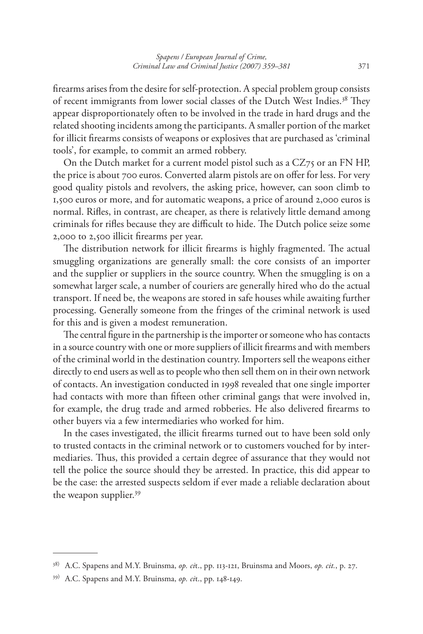firearms arises from the desire for self-protection. A special problem group consists of recent immigrants from lower social classes of the Dutch West Indies.<sup>38</sup> They appear disproportionately often to be involved in the trade in hard drugs and the related shooting incidents among the participants. A smaller portion of the market for illicit firearms consists of weapons or explosives that are purchased as 'criminal tools', for example, to commit an armed robbery.

On the Dutch market for a current model pistol such as a CZ75 or an FN HP, the price is about 700 euros. Converted alarm pistols are on offer for less. For very good quality pistols and revolvers, the asking price, however, can soon climb to 1,500 euros or more, and for automatic weapons, a price of around 2,000 euros is normal. Rifles, in contrast, are cheaper, as there is relatively little demand among criminals for rifles because they are difficult to hide. The Dutch police seize some 2,000 to 2,500 illicit firearms per year.

The distribution network for illicit firearms is highly fragmented. The actual smuggling organizations are generally small: the core consists of an importer and the supplier or suppliers in the source country. When the smuggling is on a somewhat larger scale, a number of couriers are generally hired who do the actual transport. If need be, the weapons are stored in safe houses while awaiting further processing. Generally someone from the fringes of the criminal network is used for this and is given a modest remuneration.

The central figure in the partnership is the importer or someone who has contacts in a source country with one or more suppliers of illicit firearms and with members of the criminal world in the destination country. Importers sell the weapons either directly to end users as well as to people who then sell them on in their own network of contacts. An investigation conducted in 1998 revealed that one single importer had contacts with more than fifteen other criminal gangs that were involved in, for example, the drug trade and armed robberies. He also delivered firearms to other buyers via a few intermediaries who worked for him.

In the cases investigated, the illicit firearms turned out to have been sold only to trusted contacts in the criminal network or to customers vouched for by intermediaries. Thus, this provided a certain degree of assurance that they would not tell the police the source should they be arrested. In practice, this did appear to be the case: the arrested suspects seldom if ever made a reliable declaration about the weapon supplier.<sup>39</sup>

<sup>&</sup>lt;sup>38)</sup> A.C. Spapens and M.Y. Bruinsma, op. cit., pp. 113-121, Bruinsma and Moors, op. cit., p. 27.

<sup>&</sup>lt;sup>39)</sup> A.C. Spapens and M.Y. Bruinsma, op. cit., pp. 148-149.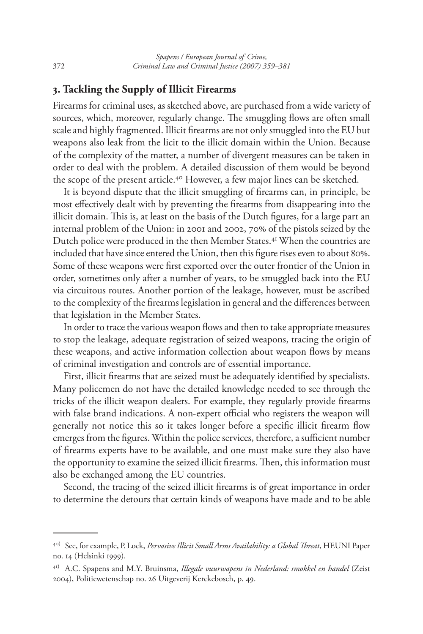#### 3. Tackling the Supply of Illicit Firearms

372

Firearms for criminal uses, as sketched above, are purchased from a wide variety of sources, which, moreover, regularly change. The smuggling flows are often small scale and highly fragmented. Illicit firearms are not only smuggled into the EU but weapons also leak from the licit to the illicit domain within the Union. Because of the complexity of the matter, a number of divergent measures can be taken in order to deal with the problem. A detailed discussion of them would be beyond the scope of the present article.<sup>40</sup> However, a few major lines can be sketched.

It is beyond dispute that the illicit smuggling of firearms can, in principle, be most effectively dealt with by preventing the firearms from disappearing into the illicit domain. This is, at least on the basis of the Dutch figures, for a large part an internal problem of the Union: in 2001 and 2002, 70% of the pistols seized by the Dutch police were produced in the then Member States.<sup>41</sup> When the countries are included that have since entered the Union, then this figure rises even to about 80%. Some of these weapons were first exported over the outer frontier of the Union in order, sometimes only after a number of years, to be smuggled back into the EU via circuitous routes. Another portion of the leakage, however, must be ascribed to the complexity of the firearms legislation in general and the differences between that legislation in the Member States.

In order to trace the various weapon flows and then to take appropriate measures to stop the leakage, adequate registration of seized weapons, tracing the origin of these weapons, and active information collection about weapon flows by means of criminal investigation and controls are of essential importance.

First, illicit firearms that are seized must be adequately identified by specialists. Many policemen do not have the detailed knowledge needed to see through the tricks of the illicit weapon dealers. For example, they regularly provide firearms with false brand indications. A non-expert official who registers the weapon will generally not notice this so it takes longer before a specific illicit firearm flow emerges from the figures. Within the police services, therefore, a sufficient number of firearms experts have to be available, and one must make sure they also have the opportunity to examine the seized illicit firearms. Then, this information must also be exchanged among the EU countries.

Second, the tracing of the seized illicit firearms is of great importance in order to determine the detours that certain kinds of weapons have made and to be able

<sup>40)</sup> See, for example, P. Lock, *Pervasive Illicit Small Arms Availability: a Global Threat*, HEUNI Paper no. 14 (Helsinki 1999).

<sup>41)</sup> A.C. Spapens and M.Y. Bruinsma, Illegale vuurwapens in Nederland: smokkel en handel (Zeist 2004), Politiewetenschap no. 26 Uitgeverij Kerckebosch, p. 49.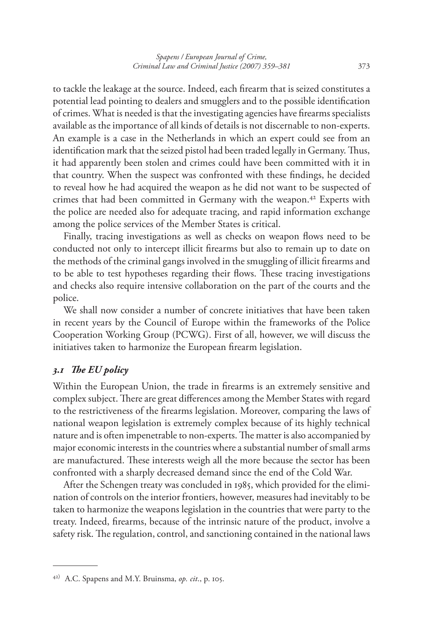to tackle the leakage at the source. Indeed, each firearm that is seized constitutes a potential lead pointing to dealers and smugglers and to the possible identification of crimes. What is needed is that the investigating agencies have firearms specialists available as the importance of all kinds of details is not discernable to non-experts. An example is a case in the Netherlands in which an expert could see from an identification mark that the seized pistol had been traded legally in Germany. Thus, it had apparently been stolen and crimes could have been committed with it in that country. When the suspect was confronted with these findings, he decided to reveal how he had acquired the weapon as he did not want to be suspected of crimes that had been committed in Germany with the weapon.<sup>42</sup> Experts with the police are needed also for adequate tracing, and rapid information exchange among the police services of the Member States is critical.

Finally, tracing investigations as well as checks on weapon flows need to be conducted not only to intercept illicit firearms but also to remain up to date on the methods of the criminal gangs involved in the smuggling of illicit firearms and to be able to test hypotheses regarding their flows. These tracing investigations and checks also require intensive collaboration on the part of the courts and the police.

We shall now consider a number of concrete initiatives that have been taken in recent years by the Council of Europe within the frameworks of the Police Cooperation Working Group (PCWG). First of all, however, we will discuss the initiatives taken to harmonize the European firearm legislation.

### $3.1$  The EU policy

Within the European Union, the trade in firearms is an extremely sensitive and complex subject. There are great differences among the Member States with regard to the restrictiveness of the firearms legislation. Moreover, comparing the laws of national weapon legislation is extremely complex because of its highly technical nature and is often impenetrable to non-experts. The matter is also accompanied by major economic interests in the countries where a substantial number of small arms are manufactured. These interests weigh all the more because the sector has been confronted with a sharply decreased demand since the end of the Cold War.

After the Schengen treaty was concluded in 1985, which provided for the elimination of controls on the interior frontiers, however, measures had inevitably to be taken to harmonize the weapons legislation in the countries that were party to the treaty. Indeed, firearms, because of the intrinsic nature of the product, involve a safety risk. The regulation, control, and sanctioning contained in the national laws

<sup>&</sup>lt;sup>42)</sup> A.C. Spapens and M.Y. Bruinsma, op. cit., p. 105.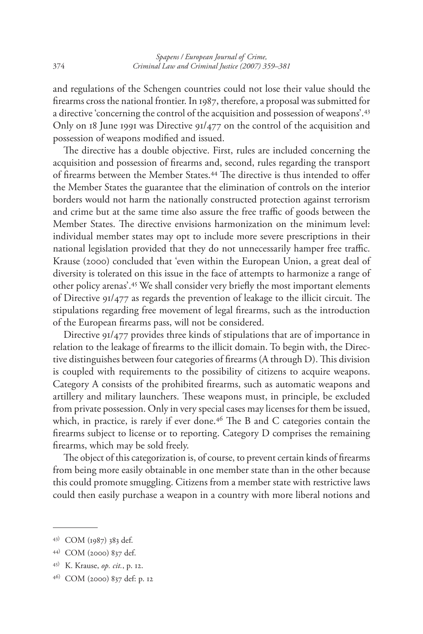and regulations of the Schengen countries could not lose their value should the firearms cross the national frontier. In 1987, therefore, a proposal was submitted for a directive 'concerning the control of the acquisition and possession of weapons'.<sup>43</sup> Only on 18 June 1991 was Directive  $91/477$  on the control of the acquisition and possession of weapons modified and issued.

The directive has a double objective. First, rules are included concerning the acquisition and possession of firearms and, second, rules regarding the transport of firearms between the Member States.<sup>44</sup> The directive is thus intended to offer the Member States the guarantee that the elimination of controls on the interior borders would not harm the nationally constructed protection against terrorism and crime but at the same time also assure the free traffic of goods between the Member States. The directive envisions harmonization on the minimum level: individual member states may opt to include more severe prescriptions in their national legislation provided that they do not unnecessarily hamper free traffic. Krause (2000) concluded that 'even within the European Union, a great deal of diversity is tolerated on this issue in the face of attempts to harmonize a range of other policy arenas'.<sup>45</sup> We shall consider very briefly the most important elements of Directive 91/477 as regards the prevention of leakage to the illicit circuit. The stipulations regarding free movement of legal firearms, such as the introduction of the European firearms pass, will not be considered.

Directive 91/477 provides three kinds of stipulations that are of importance in relation to the leakage of firearms to the illicit domain. To begin with, the Directive distinguishes between four categories of firearms (A through D). This division is coupled with requirements to the possibility of citizens to acquire weapons. Category A consists of the prohibited firearms, such as automatic weapons and artillery and military launchers. These weapons must, in principle, be excluded from private possession. Only in very special cases may licenses for them be issued, which, in practice, is rarely if ever done.<sup>46</sup> The B and C categories contain the firearms subject to license or to reporting. Category D comprises the remaining firearms, which may be sold freely.

The object of this categorization is, of course, to prevent certain kinds of firearms from being more easily obtainable in one member state than in the other because this could promote smuggling. Citizens from a member state with restrictive laws could then easily purchase a weapon in a country with more liberal notions and

<sup>43)</sup> COM (1987) 383 def.

<sup>44)</sup> COM (2000) 837 def.

<sup>45)</sup> K. Krause, op. cit., p. 12.

<sup>46)</sup> COM (2000) 837 def: p. 12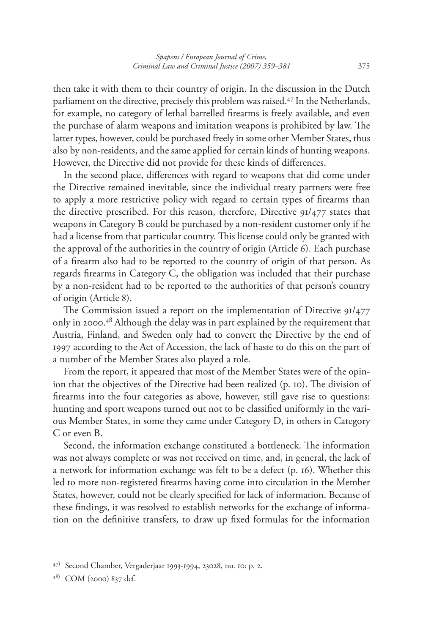then take it with them to their country of origin. In the discussion in the Dutch parliament on the directive, precisely this problem was raised.<sup>47</sup> In the Netherlands, for example, no category of lethal barrelled firearms is freely available, and even the purchase of alarm weapons and imitation weapons is prohibited by law. The latter types, however, could be purchased freely in some other Member States, thus also by non-residents, and the same applied for certain kinds of hunting weapons. However, the Directive did not provide for these kinds of differences.

In the second place, differences with regard to weapons that did come under the Directive remained inevitable, since the individual treaty partners were free to apply a more restrictive policy with regard to certain types of firearms than the directive prescribed. For this reason, therefore, Directive 91/477 states that weapons in Category B could be purchased by a non-resident customer only if he had a license from that particular country. This license could only be granted with the approval of the authorities in the country of origin (Article 6). Each purchase of a firearm also had to be reported to the country of origin of that person. As regards firearms in Category C, the obligation was included that their purchase by a non-resident had to be reported to the authorities of that person's country of origin (Article 8).

The Commission issued a report on the implementation of Directive  $91/477$ only in 2000.<sup>48</sup> Although the delay was in part explained by the requirement that Austria, Finland, and Sweden only had to convert the Directive by the end of 1997 according to the Act of Accession, the lack of haste to do this on the part of a number of the Member States also played a role.

From the report, it appeared that most of the Member States were of the opinion that the objectives of the Directive had been realized (p. 10). The division of firearms into the four categories as above, however, still gave rise to questions: hunting and sport weapons turned out not to be classified uniformly in the various Member States, in some they came under Category D, in others in Category C or even B.

Second, the information exchange constituted a bottleneck. The information was not always complete or was not received on time, and, in general, the lack of a network for information exchange was felt to be a defect (p. 16). Whether this led to more non-registered firearms having come into circulation in the Member States, however, could not be clearly specified for lack of information. Because of these findings, it was resolved to establish networks for the exchange of information on the definitive transfers, to draw up fixed formulas for the information

<sup>47)</sup> Second Chamber, Vergaderjaar 1993-1994, 23028, no. 10: p. 2.

<sup>48)</sup> COM (2000) 837 def.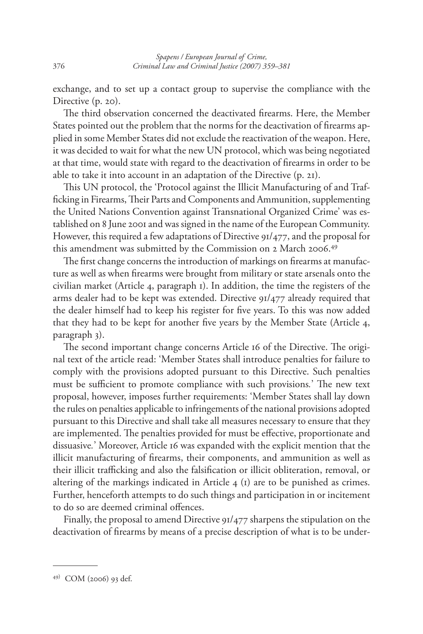exchange, and to set up a contact group to supervise the compliance with the Directive (p. 20).

The third observation concerned the deactivated firearms. Here, the Member States pointed out the problem that the norms for the deactivation of firearms applied in some Member States did not exclude the reactivation of the weapon. Here, it was decided to wait for what the new UN protocol, which was being negotiated at that time, would state with regard to the deactivation of firearms in order to be able to take it into account in an adaptation of the Directive (p. 21).

This UN protocol, the 'Protocol against the Illicit Manufacturing of and Trafficking in Firearms, Their Parts and Components and Ammunition, supplementing the United Nations Convention against Transnational Organized Crime' was established on 8 June 2001 and was signed in the name of the European Community. However, this required a few adaptations of Directive  $91/477$ , and the proposal for this amendment was submitted by the Commission on 2 March 2006.<sup>49</sup>

The first change concerns the introduction of markings on firearms at manufacture as well as when firearms were brought from military or state arsenals onto the civilian market (Article 4, paragraph I). In addition, the time the registers of the arms dealer had to be kept was extended. Directive 91/477 already required that the dealer himself had to keep his register for five years. To this was now added that they had to be kept for another five years by the Member State (Article 4, paragraph 3).

The second important change concerns Article 16 of the Directive. The original text of the article read: 'Member States shall introduce penalties for failure to comply with the provisions adopted pursuant to this Directive. Such penalties must be sufficient to promote compliance with such provisions.' The new text proposal, however, imposes further requirements: 'Member States shall lay down the rules on penalties applicable to infringements of the national provisions adopted pursuant to this Directive and shall take all measures necessary to ensure that they are implemented. The penalties provided for must be effective, proportionate and dissuasive.' Moreover, Article 16 was expanded with the explicit mention that the illicit manufacturing of firearms, their components, and ammunition as well as their illicit trafficking and also the falsification or illicit obliteration, removal, or altering of the markings indicated in Article  $4$  (I) are to be punished as crimes. Further, henceforth attempts to do such things and participation in or incitement to do so are deemed criminal offences.

Finally, the proposal to amend Directive 91/477 sharpens the stipulation on the deactivation of firearms by means of a precise description of what is to be under-

<sup>49)</sup> COM (2006) 93 def.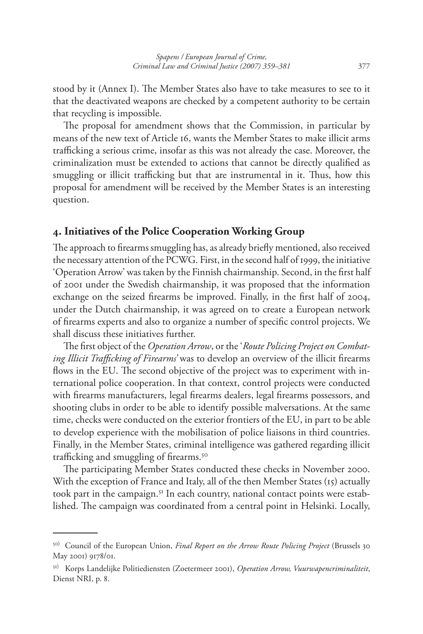stood by it (Annex I). The Member States also have to take measures to see to it that the deactivated weapons are checked by a competent authority to be certain that recycling is impossible.

The proposal for amendment shows that the Commission, in particular by means of the new text of Article 16, wants the Member States to make illicit arms trafficking a serious crime, insofar as this was not already the case. Moreover, the criminalization must be extended to actions that cannot be directly qualified as smuggling or illicit trafficking but that are instrumental in it. Thus, how this proposal for amendment will be received by the Member States is an interesting question.

#### 4. Initiatives of the Police Cooperation Working Group

The approach to firearms smuggling has, as already briefly mentioned, also received the necessary attention of the PCWG. First, in the second half of 1999, the initiative 'Operation Arrow' was taken by the Finnish chairmanship. Second, in the first half of 2001 under the Swedish chairmanship, it was proposed that the information exchange on the seized firearms be improved. Finally, in the first half of 2004, under the Dutch chairmanship, it was agreed on to create a European network of firearms experts and also to organize a number of specific control projects. We shall discuss these initiatives further.

The first object of the Operation Arrow, or the 'Route Policing Project on Combating Illicit Trafficking of Firearms' was to develop an overview of the illicit firearms flows in the EU. The second objective of the project was to experiment with international police cooperation. In that context, control projects were conducted with firearms manufacturers, legal firearms dealers, legal firearms possessors, and shooting clubs in order to be able to identify possible malversations. At the same time, checks were conducted on the exterior frontiers of the EU, in part to be able to develop experience with the mobilisation of police liaisons in third countries. Finally, in the Member States, criminal intelligence was gathered regarding illicit trafficking and smuggling of firearms.<sup>50</sup>

The participating Member States conducted these checks in November 2000. With the exception of France and Italy, all of the then Member States (15) actually took part in the campaign.<sup>51</sup> In each country, national contact points were established. The campaign was coordinated from a central point in Helsinki. Locally,

<sup>&</sup>lt;sup>50)</sup> Council of the European Union, *Final Report on the Arrow Route Policing Project* (Brussels 30 May 2001) 9178/01.

<sup>&</sup>lt;sup>51)</sup> Korps Landelijke Politiediensten (Zoetermeer 2001), Operation Arrow, Vuurwapencriminaliteit, Dienst NRI, p. 8.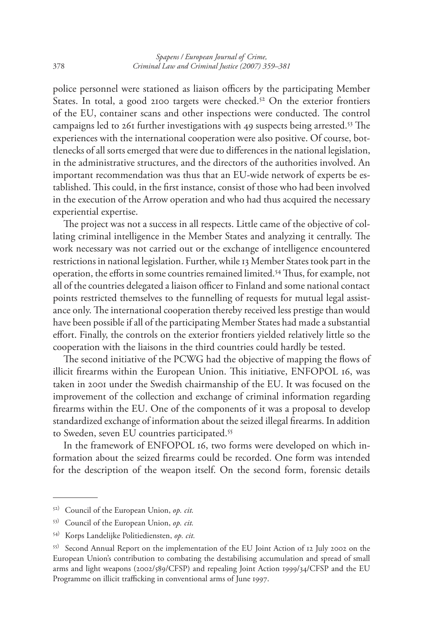police personnel were stationed as liaison officers by the participating Member States. In total, a good 2100 targets were checked.<sup>52</sup> On the exterior frontiers of the EU, container scans and other inspections were conducted. The control campaigns led to 261 further investigations with 49 suspects being arrested.<sup>53</sup> The experiences with the international cooperation were also positive. Of course, bottlenecks of all sorts emerged that were due to differences in the national legislation, in the administrative structures, and the directors of the authorities involved. An important recommendation was thus that an EU-wide network of experts be established. This could, in the first instance, consist of those who had been involved in the execution of the Arrow operation and who had thus acquired the necessary experiential expertise.

The project was not a success in all respects. Little came of the objective of collating criminal intelligence in the Member States and analyzing it centrally. The work necessary was not carried out or the exchange of intelligence encountered restrictions in national legislation. Further, while 13 Member States took part in the operation, the efforts in some countries remained limited.<sup>54</sup> Thus, for example, not all of the countries delegated a liaison officer to Finland and some national contact points restricted themselves to the funnelling of requests for mutual legal assistance only. The international cooperation thereby received less prestige than would have been possible if all of the participating Member States had made a substantial effort. Finally, the controls on the exterior frontiers yielded relatively little so the cooperation with the liaisons in the third countries could hardly be tested.

The second initiative of the PCWG had the objective of mapping the flows of illicit firearms within the European Union. This initiative, ENFOPOL 16, was taken in 2001 under the Swedish chairmanship of the EU. It was focused on the improvement of the collection and exchange of criminal information regarding firearms within the EU. One of the components of it was a proposal to develop standardized exchange of information about the seized illegal firearms. In addition to Sweden, seven EU countries participated.<sup>55</sup>

In the framework of ENFOPOL 16, two forms were developed on which information about the seized firearms could be recorded. One form was intended for the description of the weapon itself. On the second form, forensic details

<sup>&</sup>lt;sup>52)</sup> Council of the European Union, op. cit.

<sup>&</sup>lt;sup>53)</sup> Council of the European Union, op. cit.

<sup>&</sup>lt;sup>54)</sup> Korps Landelijke Politiediensten, op. cit.

<sup>&</sup>lt;sup>55)</sup> Second Annual Report on the implementation of the EU Joint Action of 12 July 2002 on the European Union's contribution to combating the destabilising accumulation and spread of small arms and light weapons (2002/589/CFSP) and repealing Joint Action 1999/34/CFSP and the EU Programme on illicit trafficking in conventional arms of June 1997.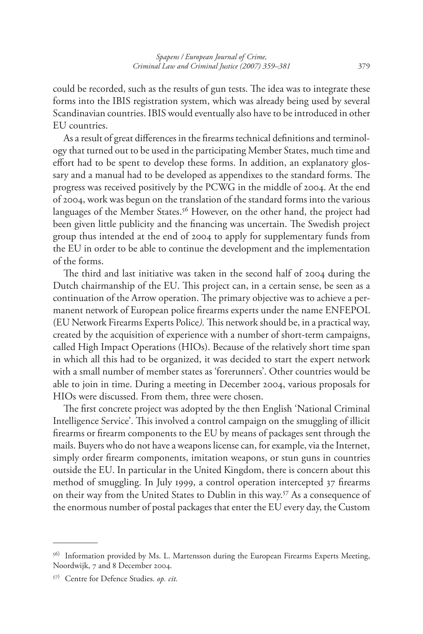could be recorded, such as the results of gun tests. The idea was to integrate these forms into the IBIS registration system, which was already being used by several Scandinavian countries. IBIS would eventually also have to be introduced in other EU countries.

As a result of great differences in the firearms technical definitions and terminology that turned out to be used in the participating Member States, much time and effort had to be spent to develop these forms. In addition, an explanatory glossary and a manual had to be developed as appendixes to the standard forms. The progress was received positively by the PCWG in the middle of 2004. At the end of 2004, work was begun on the translation of the standard forms into the various languages of the Member States.<sup>56</sup> However, on the other hand, the project had been given little publicity and the financing was uncertain. The Swedish project group thus intended at the end of 2004 to apply for supplementary funds from the EU in order to be able to continue the development and the implementation of the forms.

The third and last initiative was taken in the second half of 2004 during the Dutch chairmanship of the EU. This project can, in a certain sense, be seen as a continuation of the Arrow operation. The primary objective was to achieve a permanent network of European police firearms experts under the name ENFEPOL (EU Network Firearms Experts Police). This network should be, in a practical way, created by the acquisition of experience with a number of short-term campaigns, called High Impact Operations (HIOs). Because of the relatively short time span in which all this had to be organized, it was decided to start the expert network with a small number of member states as 'forerunners'. Other countries would be able to join in time. During a meeting in December 2004, various proposals for HIOs were discussed. From them, three were chosen.

The first concrete project was adopted by the then English 'National Criminal Intelligence Service'. This involved a control campaign on the smuggling of illicit firearms or firearm components to the EU by means of packages sent through the mails. Buyers who do not have a weapons license can, for example, via the Internet, simply order firearm components, imitation weapons, or stun guns in countries outside the EU. In particular in the United Kingdom, there is concern about this method of smuggling. In July 1999, a control operation intercepted 37 firearms on their way from the United States to Dublin in this way.<sup>57</sup> As a consequence of the enormous number of postal packages that enter the EU every day, the Custom

<sup>&</sup>lt;sup>56)</sup> Information provided by Ms. L. Martensson during the European Firearms Experts Meeting, Noordwijk, 7 and 8 December 2004.

<sup>&</sup>lt;sup>57)</sup> Centre for Defence Studies. op. cit.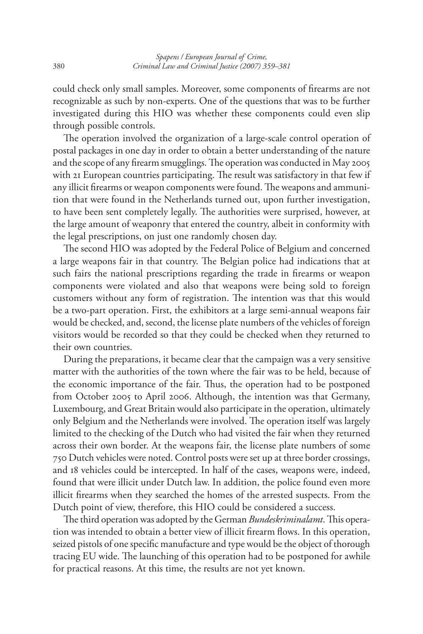could check only small samples. Moreover, some components of firearms are not recognizable as such by non-experts. One of the questions that was to be further investigated during this HIO was whether these components could even slip through possible controls.

The operation involved the organization of a large-scale control operation of postal packages in one day in order to obtain a better understanding of the nature and the scope of any firearm smugglings. The operation was conducted in May 2005 with 21 European countries participating. The result was satisfactory in that few if any illicit firearms or weapon components were found. The weapons and ammunition that were found in the Netherlands turned out, upon further investigation, to have been sent completely legally. The authorities were surprised, however, at the large amount of weaponry that entered the country, albeit in conformity with the legal prescriptions, on just one randomly chosen day.

The second HIO was adopted by the Federal Police of Belgium and concerned a large weapons fair in that country. The Belgian police had indications that at such fairs the national prescriptions regarding the trade in firearms or weapon components were violated and also that weapons were being sold to foreign customers without any form of registration. The intention was that this would be a two-part operation. First, the exhibitors at a large semi-annual weapons fair would be checked, and, second, the license plate numbers of the vehicles of foreign visitors would be recorded so that they could be checked when they returned to their own countries.

During the preparations, it became clear that the campaign was a very sensitive matter with the authorities of the town where the fair was to be held, because of the economic importance of the fair. Thus, the operation had to be postponed from October 2005 to April 2006. Although, the intention was that Germany, Luxembourg, and Great Britain would also participate in the operation, ultimately only Belgium and the Netherlands were involved. The operation itself was largely limited to the checking of the Dutch who had visited the fair when they returned across their own border. At the weapons fair, the license plate numbers of some 750 Dutch vehicles were noted. Control posts were set up at three border crossings, and 18 vehicles could be intercepted. In half of the cases, weapons were, indeed, found that were illicit under Dutch law. In addition, the police found even more illicit firearms when they searched the homes of the arrested suspects. From the Dutch point of view, therefore, this HIO could be considered a success.

The third operation was adopted by the German Bundeskriminalamt. This operation was intended to obtain a better view of illicit firearm flows. In this operation, seized pistols of one specific manufacture and type would be the object of thorough tracing EU wide. The launching of this operation had to be postponed for awhile for practical reasons. At this time, the results are not yet known.